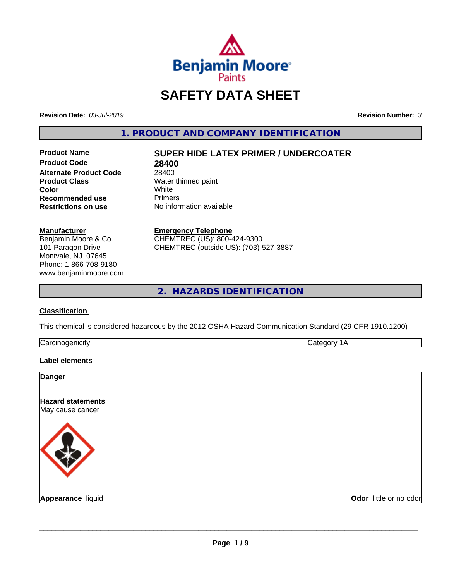

# **SAFETY DATA SHEET**

**Revision Date:** *03-Jul-2019* **Revision Number:** *3*

**1. PRODUCT AND COMPANY IDENTIFICATION**

**Product Code 28400<br>Alternate Product Code 28400 Alternate Product Code**<br>Product Class **Color** White White **Recommended use** Primers<br> **Restrictions on use** No infor

# **Product Name SUPER HIDE LATEX PRIMER / UNDERCOATER**

**Water thinned paint**<br>White **No information available** 

#### **Manufacturer**

Benjamin Moore & Co. 101 Paragon Drive Montvale, NJ 07645 Phone: 1-866-708-9180 www.benjaminmoore.com

# **Emergency Telephone**

CHEMTREC (US): 800-424-9300 CHEMTREC (outside US): (703)-527-3887

**2. HAZARDS IDENTIFICATION**

#### **Classification**

This chemical is considered hazardous by the 2012 OSHA Hazard Communication Standard (29 CFR 1910.1200)

| $\sim$<br>3. JI |  |
|-----------------|--|

#### **Label elements**

| <b>Danger</b>                                |                        |
|----------------------------------------------|------------------------|
| <b>Hazard statements</b><br>May cause cancer |                        |
|                                              |                        |
| Appearance liquid                            | Odor little or no odor |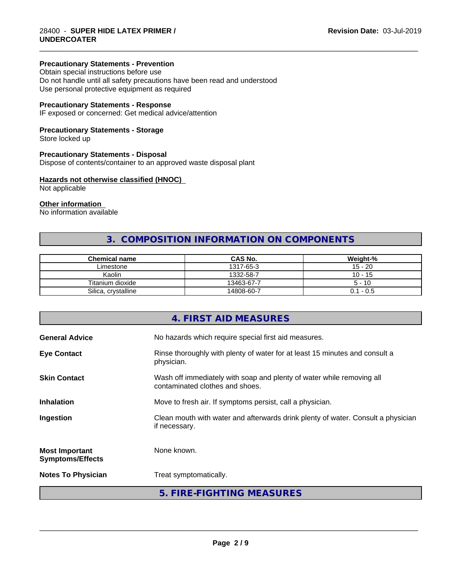#### **Precautionary Statements - Prevention**

Obtain special instructions before use Do not handle until all safety precautions have been read and understood Use personal protective equipment as required

#### **Precautionary Statements - Response**

IF exposed or concerned: Get medical advice/attention

#### **Precautionary Statements - Storage**

Store locked up

#### **Precautionary Statements - Disposal**

Dispose of contents/container to an approved waste disposal plant

#### **Hazards not otherwise classified (HNOC)**

Not applicable

#### **Other information**

No information available

# **3. COMPOSITION INFORMATION ON COMPONENTS**

\_\_\_\_\_\_\_\_\_\_\_\_\_\_\_\_\_\_\_\_\_\_\_\_\_\_\_\_\_\_\_\_\_\_\_\_\_\_\_\_\_\_\_\_\_\_\_\_\_\_\_\_\_\_\_\_\_\_\_\_\_\_\_\_\_\_\_\_\_\_\_\_\_\_\_\_\_\_\_\_\_\_\_\_\_\_\_\_\_\_\_\_\_

| <b>Chemical name</b> | <b>CAS No.</b> | Weight-%    |
|----------------------|----------------|-------------|
| ∟imestone            | 1317-65-3      | $15 - 20$   |
| Kaolin               | 1332-58-7      | $10 - 15$   |
| Titanium dioxide     | 13463-67-7     | $5 - 10$    |
| Silica, crystalline  | 14808-60-7     | $0.1 - 0.5$ |

|                                                  | 4. FIRST AID MEASURES                                                                                    |
|--------------------------------------------------|----------------------------------------------------------------------------------------------------------|
| <b>General Advice</b>                            | No hazards which require special first aid measures.                                                     |
| <b>Eye Contact</b>                               | Rinse thoroughly with plenty of water for at least 15 minutes and consult a<br>physician.                |
| <b>Skin Contact</b>                              | Wash off immediately with soap and plenty of water while removing all<br>contaminated clothes and shoes. |
| Inhalation                                       | Move to fresh air. If symptoms persist, call a physician.                                                |
| Ingestion                                        | Clean mouth with water and afterwards drink plenty of water. Consult a physician<br>if necessary.        |
| <b>Most Important</b><br><b>Symptoms/Effects</b> | None known.                                                                                              |
|                                                  |                                                                                                          |

**Notes To Physician** Treat symptomatically.

**5. FIRE-FIGHTING MEASURES**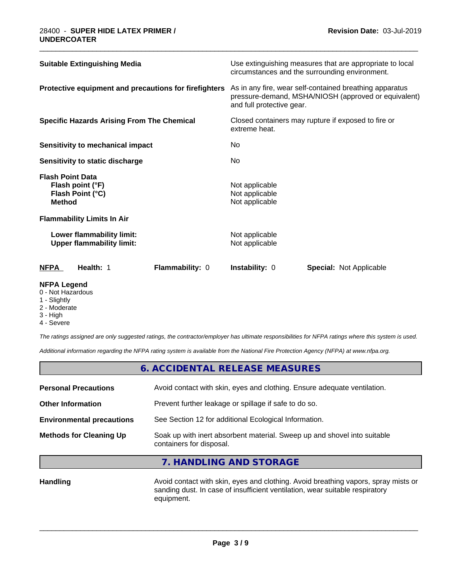| <b>Suitable Extinguishing Media</b>                                              | Use extinguishing measures that are appropriate to local<br>circumstances and the surrounding environment.                                   |  |
|----------------------------------------------------------------------------------|----------------------------------------------------------------------------------------------------------------------------------------------|--|
| Protective equipment and precautions for firefighters                            | As in any fire, wear self-contained breathing apparatus<br>pressure-demand, MSHA/NIOSH (approved or equivalent)<br>and full protective gear. |  |
| <b>Specific Hazards Arising From The Chemical</b>                                | Closed containers may rupture if exposed to fire or<br>extreme heat.                                                                         |  |
| Sensitivity to mechanical impact                                                 | No.                                                                                                                                          |  |
| Sensitivity to static discharge                                                  | No                                                                                                                                           |  |
| <b>Flash Point Data</b><br>Flash point (°F)<br>Flash Point (°C)<br><b>Method</b> | Not applicable<br>Not applicable<br>Not applicable                                                                                           |  |
| <b>Flammability Limits In Air</b>                                                |                                                                                                                                              |  |
| Lower flammability limit:<br><b>Upper flammability limit:</b>                    | Not applicable<br>Not applicable                                                                                                             |  |
| <b>NFPA</b><br>Health: 1<br><b>Flammability: 0</b>                               | <b>Instability: 0</b><br><b>Special: Not Applicable</b>                                                                                      |  |

\_\_\_\_\_\_\_\_\_\_\_\_\_\_\_\_\_\_\_\_\_\_\_\_\_\_\_\_\_\_\_\_\_\_\_\_\_\_\_\_\_\_\_\_\_\_\_\_\_\_\_\_\_\_\_\_\_\_\_\_\_\_\_\_\_\_\_\_\_\_\_\_\_\_\_\_\_\_\_\_\_\_\_\_\_\_\_\_\_\_\_\_\_

#### **NFPA Legend**

- 0 Not Hazardous
- 1 Slightly
- 2 Moderate
- 3 High
- 4 Severe

*The ratings assigned are only suggested ratings, the contractor/employer has ultimate responsibilities for NFPA ratings where this system is used.*

*Additional information regarding the NFPA rating system is available from the National Fire Protection Agency (NFPA) at www.nfpa.org.*

# **6. ACCIDENTAL RELEASE MEASURES**

| <b>Personal Precautions</b>      | Avoid contact with skin, eyes and clothing. Ensure adequate ventilation.                             |
|----------------------------------|------------------------------------------------------------------------------------------------------|
| <b>Other Information</b>         | Prevent further leakage or spillage if safe to do so.                                                |
| <b>Environmental precautions</b> | See Section 12 for additional Ecological Information.                                                |
| <b>Methods for Cleaning Up</b>   | Soak up with inert absorbent material. Sweep up and shovel into suitable<br>containers for disposal. |
|                                  |                                                                                                      |

#### **7. HANDLING AND STORAGE**

Handling **Handling Avoid contact with skin, eyes and clothing.** Avoid breathing vapors, spray mists or sanding dust. In case of insufficient ventilation, wear suitable respiratory equipment.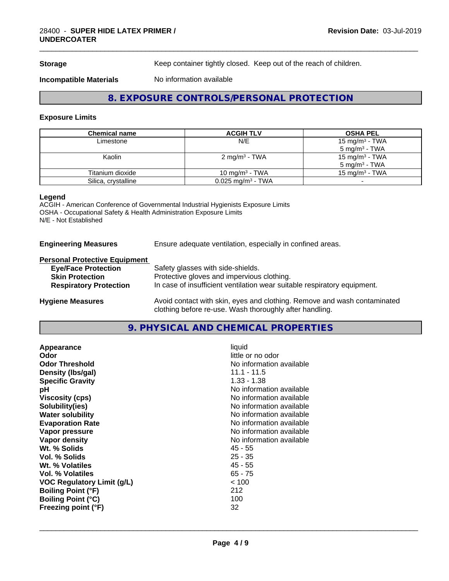**Storage** Keep container tightly closed. Keep out of the reach of children.

\_\_\_\_\_\_\_\_\_\_\_\_\_\_\_\_\_\_\_\_\_\_\_\_\_\_\_\_\_\_\_\_\_\_\_\_\_\_\_\_\_\_\_\_\_\_\_\_\_\_\_\_\_\_\_\_\_\_\_\_\_\_\_\_\_\_\_\_\_\_\_\_\_\_\_\_\_\_\_\_\_\_\_\_\_\_\_\_\_\_\_\_\_

**Incompatible Materials** No information available

# **8. EXPOSURE CONTROLS/PERSONAL PROTECTION**

#### **Exposure Limits**

| <b>Chemical name</b> | <b>ACGIH TLV</b>                | <b>OSHA PEL</b>            |
|----------------------|---------------------------------|----------------------------|
| Limestone            | N/E                             | 15 mg/m <sup>3</sup> - TWA |
|                      |                                 | $5 \text{ ma/m}^3$ - TWA   |
| Kaolin               | 2 mg/m <sup>3</sup> - TWA       | 15 mg/m <sup>3</sup> - TWA |
|                      |                                 | $5 \text{ mg/m}^3$ - TWA   |
| Titanium dioxide     | 10 mg/m $3$ - TWA               | $15 \text{ ma/m}^3$ - TWA  |
| Silica, crystalline  | $0.025$ mg/m <sup>3</sup> - TWA |                            |

#### **Legend**

ACGIH - American Conference of Governmental Industrial Hygienists Exposure Limits OSHA - Occupational Safety & Health Administration Exposure Limits N/E - Not Established

**Engineering Measures** Ensure adequate ventilation, especially in confined areas.

clothing before re-use. Wash thoroughly after handling.

#### **Personal Protective Equipment**

| <b>Eye/Face Protection</b>    | Safety glasses with side-shields.                                        |
|-------------------------------|--------------------------------------------------------------------------|
| <b>Skin Protection</b>        | Protective gloves and impervious clothing.                               |
| <b>Respiratory Protection</b> | In case of insufficient ventilation wear suitable respiratory equipment. |
| <b>Hygiene Measures</b>       | Avoid contact with skin, eyes and clothing. Remove and wash contaminated |

**9. PHYSICAL AND CHEMICAL PROPERTIES**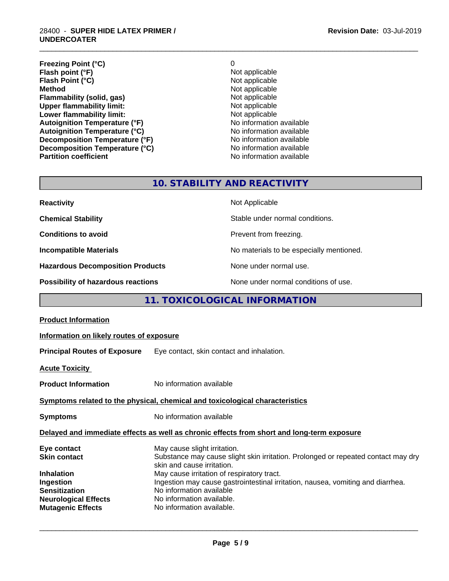#### 28400 - **SUPER HIDE LATEX PRIMER / UNDERCOATER**

**Freezing Point (°C)**<br> **Flash point (°F)**<br> **Flash point (°F)**<br> **Point (°F)**<br> **Point (°F)**<br> **Point (°F)**<br> **Point (°F) Flash point (°F)**<br> **Flash Point (°C)**<br> **Flash Point (°C)**<br> **C Flash Point (°C) Method** Not applicable<br> **Flammability (solid, gas)** Not applicable Not applicable **Flammability (solid, gas)**<br> **Upper flammability limit:**<br>
Upper flammability limit: **Upper flammability limit:**<br> **Lower flammability limit:**<br>
Not applicable<br>
Not applicable **Lower flammability limit:**<br> **Autoignition Temperature (°F)** Not applicable available and the Mustafable and Mustafable and Mustafable and Mu **Autoignition Temperature (°F)**<br> **Autoignition Temperature (°C)** No information available **Autoignition Temperature (°C) Decomposition Temperature (°F)** No information available **Decomposition Temperature (°C)**<br> **Partition coefficient Partition coefficient 1 Partition available No information available** 

**No information available** 

\_\_\_\_\_\_\_\_\_\_\_\_\_\_\_\_\_\_\_\_\_\_\_\_\_\_\_\_\_\_\_\_\_\_\_\_\_\_\_\_\_\_\_\_\_\_\_\_\_\_\_\_\_\_\_\_\_\_\_\_\_\_\_\_\_\_\_\_\_\_\_\_\_\_\_\_\_\_\_\_\_\_\_\_\_\_\_\_\_\_\_\_\_

# **10. STABILITY AND REACTIVITY**

| <b>Reactivity</b>                         | Not Applicable                           |
|-------------------------------------------|------------------------------------------|
| <b>Chemical Stability</b>                 | Stable under normal conditions.          |
| <b>Conditions to avoid</b>                | Prevent from freezing.                   |
| <b>Incompatible Materials</b>             | No materials to be especially mentioned. |
| <b>Hazardous Decomposition Products</b>   | None under normal use.                   |
| <b>Possibility of hazardous reactions</b> | None under normal conditions of use.     |

# **11. TOXICOLOGICAL INFORMATION**

| Information on likely routes of exposure                                                                                                                                                                                                                                                                                                                               |  |  |
|------------------------------------------------------------------------------------------------------------------------------------------------------------------------------------------------------------------------------------------------------------------------------------------------------------------------------------------------------------------------|--|--|
| <b>Principal Routes of Exposure</b> Eye contact, skin contact and inhalation.                                                                                                                                                                                                                                                                                          |  |  |
|                                                                                                                                                                                                                                                                                                                                                                        |  |  |
| No information available                                                                                                                                                                                                                                                                                                                                               |  |  |
| Symptoms related to the physical, chemical and toxicological characteristics                                                                                                                                                                                                                                                                                           |  |  |
| No information available                                                                                                                                                                                                                                                                                                                                               |  |  |
| Delayed and immediate effects as well as chronic effects from short and long-term exposure                                                                                                                                                                                                                                                                             |  |  |
| May cause slight irritation.<br>Substance may cause slight skin irritation. Prolonged or repeated contact may dry<br>skin and cause irritation.<br>May cause irritation of respiratory tract.<br>Ingestion may cause gastrointestinal irritation, nausea, vomiting and diarrhea.<br>No information available<br>No information available.<br>No information available. |  |  |
|                                                                                                                                                                                                                                                                                                                                                                        |  |  |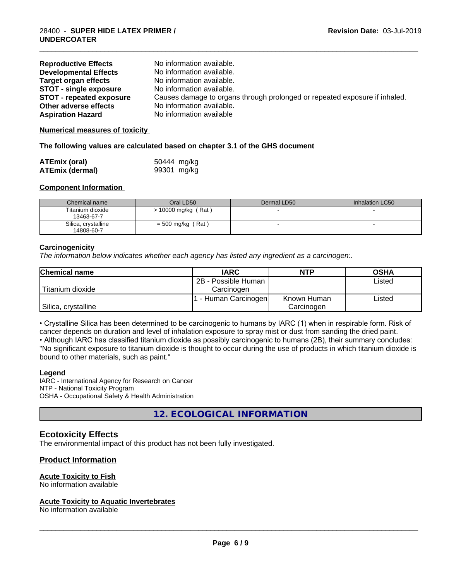| <b>Reproductive Effects</b>     | No information available.                                                  |
|---------------------------------|----------------------------------------------------------------------------|
| <b>Developmental Effects</b>    | No information available.                                                  |
| Target organ effects            | No information available.                                                  |
| <b>STOT - single exposure</b>   | No information available.                                                  |
| <b>STOT - repeated exposure</b> | Causes damage to organs through prolonged or repeated exposure if inhaled. |
| Other adverse effects           | No information available.                                                  |
| <b>Aspiration Hazard</b>        | No information available                                                   |

\_\_\_\_\_\_\_\_\_\_\_\_\_\_\_\_\_\_\_\_\_\_\_\_\_\_\_\_\_\_\_\_\_\_\_\_\_\_\_\_\_\_\_\_\_\_\_\_\_\_\_\_\_\_\_\_\_\_\_\_\_\_\_\_\_\_\_\_\_\_\_\_\_\_\_\_\_\_\_\_\_\_\_\_\_\_\_\_\_\_\_\_\_

**Numerical measures of toxicity**

**The following values are calculated based on chapter 3.1 of the GHS document**

| <b>ATEmix (oral)</b> | 50444 mg/kg |  |  |
|----------------------|-------------|--|--|
| ATEmix (dermal)      | 99301 mg/kg |  |  |

#### **Component Information**

| Chemical name                     | Oral LD50           | Dermal LD50 | Inhalation LC50 |
|-----------------------------------|---------------------|-------------|-----------------|
| Titanium dioxide<br>13463-67-7    | > 10000 mg/kg (Rat) |             |                 |
| Silica, crystalline<br>14808-60-7 | $=$ 500 mg/kg (Rat) |             |                 |

#### **Carcinogenicity**

*The information below indicateswhether each agency has listed any ingredient as a carcinogen:.*

| <b>Chemical name</b> | <b>IARC</b>         | <b>NTP</b>  | <b>OSHA</b> |
|----------------------|---------------------|-------------|-------------|
|                      | 2B - Possible Human |             | Listed      |
| Titanium dioxide     | Carcinoɑen          |             |             |
|                      | - Human Carcinogen  | Known Human | Listed      |
| Silica, crystalline  |                     | Carcinogen  |             |

• Crystalline Silica has been determined to be carcinogenic to humans by IARC (1) when in respirable form. Risk of cancer depends on duration and level of inhalation exposure to spray mist or dust from sanding the dried paint.• Although IARC has classified titanium dioxide as possibly carcinogenic to humans (2B), their summary concludes: "No significant exposure to titanium dioxide is thought to occur during the use of products in which titanium dioxide is bound to other materials, such as paint."

#### **Legend**

IARC - International Agency for Research on Cancer NTP - National Toxicity Program OSHA - Occupational Safety & Health Administration

**12. ECOLOGICAL INFORMATION**

#### **Ecotoxicity Effects**

The environmental impact of this product has not been fully investigated.

#### **Product Information**

#### **Acute Toxicity to Fish**

No information available

#### **Acute Toxicity to Aquatic Invertebrates**

No information available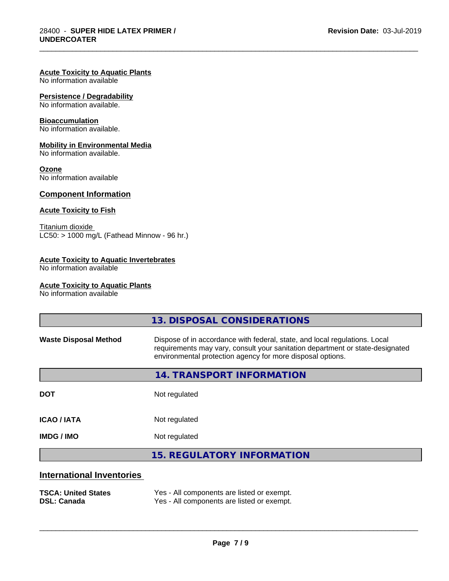#### **Acute Toxicity to Aquatic Plants**

No information available

#### **Persistence / Degradability**

No information available.

# **Bioaccumulation**

No information available.

#### **Mobility in Environmental Media**

No information available.

# **Ozone**

No information available

### **Component Information**

# **Acute Toxicity to Fish**

Titanium dioxide  $LC50: > 1000$  mg/L (Fathead Minnow - 96 hr.)

#### **Acute Toxicity to Aquatic Invertebrates**

No information available

#### **Acute Toxicity to Aquatic Plants**

No information available

|                                                  | 13. DISPOSAL CONSIDERATIONS                                                                                                                                                                                               |
|--------------------------------------------------|---------------------------------------------------------------------------------------------------------------------------------------------------------------------------------------------------------------------------|
| <b>Waste Disposal Method</b>                     | Dispose of in accordance with federal, state, and local regulations. Local<br>requirements may vary, consult your sanitation department or state-designated<br>environmental protection agency for more disposal options. |
|                                                  | 14. TRANSPORT INFORMATION                                                                                                                                                                                                 |
| <b>DOT</b>                                       | Not regulated                                                                                                                                                                                                             |
| <b>ICAO / IATA</b>                               | Not regulated                                                                                                                                                                                                             |
| <b>IMDG / IMO</b>                                | Not regulated                                                                                                                                                                                                             |
|                                                  | <b>15. REGULATORY INFORMATION</b>                                                                                                                                                                                         |
| <b>International Inventories</b>                 |                                                                                                                                                                                                                           |
| <b>TSCA: United States</b><br><b>DSL: Canada</b> | Yes - All components are listed or exempt.<br>Yes - All components are listed or exempt.                                                                                                                                  |

\_\_\_\_\_\_\_\_\_\_\_\_\_\_\_\_\_\_\_\_\_\_\_\_\_\_\_\_\_\_\_\_\_\_\_\_\_\_\_\_\_\_\_\_\_\_\_\_\_\_\_\_\_\_\_\_\_\_\_\_\_\_\_\_\_\_\_\_\_\_\_\_\_\_\_\_\_\_\_\_\_\_\_\_\_\_\_\_\_\_\_\_\_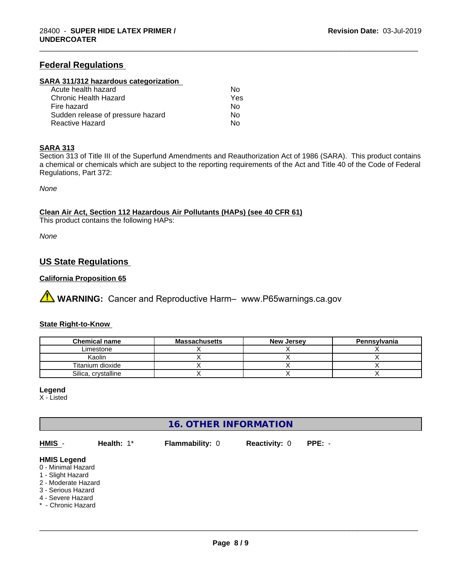# **Federal Regulations**

#### **SARA 311/312 hazardous categorization**

| Acute health hazard               | No  |  |
|-----------------------------------|-----|--|
| Chronic Health Hazard             | Yes |  |
| Fire hazard                       | No  |  |
| Sudden release of pressure hazard | Nο  |  |
| Reactive Hazard                   | Nο  |  |

#### **SARA 313**

Section 313 of Title III of the Superfund Amendments and Reauthorization Act of 1986 (SARA). This product contains a chemical or chemicals which are subject to the reporting requirements of the Act and Title 40 of the Code of Federal Regulations, Part 372:

\_\_\_\_\_\_\_\_\_\_\_\_\_\_\_\_\_\_\_\_\_\_\_\_\_\_\_\_\_\_\_\_\_\_\_\_\_\_\_\_\_\_\_\_\_\_\_\_\_\_\_\_\_\_\_\_\_\_\_\_\_\_\_\_\_\_\_\_\_\_\_\_\_\_\_\_\_\_\_\_\_\_\_\_\_\_\_\_\_\_\_\_\_

*None*

**Clean Air Act,Section 112 Hazardous Air Pollutants (HAPs) (see 40 CFR 61)**

This product contains the following HAPs:

*None*

# **US State Regulations**

# **California Proposition 65**

**AVIMARNING:** Cancer and Reproductive Harm– www.P65warnings.ca.gov

#### **State Right-to-Know**

| <b>Chemical name</b> | <b>Massachusetts</b> | <b>New Jersey</b> | Pennsylvania |
|----------------------|----------------------|-------------------|--------------|
| Limestone            |                      |                   |              |
| Kaolin               |                      |                   |              |
| Titanium dioxide     |                      |                   |              |
| Silica, crystalline  |                      |                   |              |

#### **Legend**

X - Listed

# **16. OTHER INFORMATION**

| HMIS -                                                                                                                                                | Health: 1* | <b>Flammability: 0</b> | <b>Reactivity: 0</b> | $PPE: -$ |
|-------------------------------------------------------------------------------------------------------------------------------------------------------|------------|------------------------|----------------------|----------|
| <b>HMIS Legend</b><br>0 - Minimal Hazard<br>1 - Slight Hazard<br>2 - Moderate Hazard<br>3 - Serious Hazard<br>4 - Severe Hazard<br>* - Chronic Hazard |            |                        |                      |          |